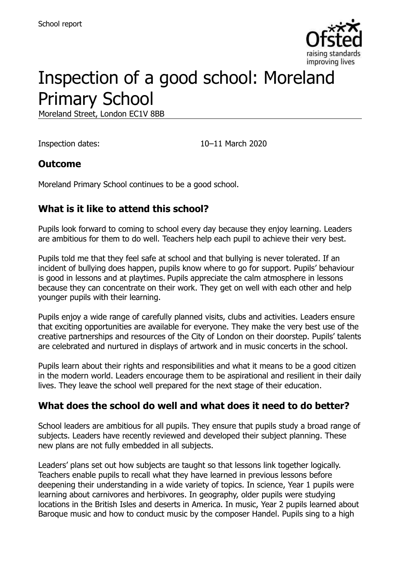

# Inspection of a good school: Moreland Primary School

Moreland Street, London EC1V 8BB

Inspection dates: 10–11 March 2020

#### **Outcome**

Moreland Primary School continues to be a good school.

# **What is it like to attend this school?**

Pupils look forward to coming to school every day because they enjoy learning. Leaders are ambitious for them to do well. Teachers help each pupil to achieve their very best.

Pupils told me that they feel safe at school and that bullying is never tolerated. If an incident of bullying does happen, pupils know where to go for support. Pupils' behaviour is good in lessons and at playtimes. Pupils appreciate the calm atmosphere in lessons because they can concentrate on their work. They get on well with each other and help younger pupils with their learning.

Pupils enjoy a wide range of carefully planned visits, clubs and activities. Leaders ensure that exciting opportunities are available for everyone. They make the very best use of the creative partnerships and resources of the City of London on their doorstep. Pupils' talents are celebrated and nurtured in displays of artwork and in music concerts in the school.

Pupils learn about their rights and responsibilities and what it means to be a good citizen in the modern world. Leaders encourage them to be aspirational and resilient in their daily lives. They leave the school well prepared for the next stage of their education.

#### **What does the school do well and what does it need to do better?**

School leaders are ambitious for all pupils. They ensure that pupils study a broad range of subjects. Leaders have recently reviewed and developed their subject planning. These new plans are not fully embedded in all subjects.

Leaders' plans set out how subjects are taught so that lessons link together logically. Teachers enable pupils to recall what they have learned in previous lessons before deepening their understanding in a wide variety of topics. In science, Year 1 pupils were learning about carnivores and herbivores. In geography, older pupils were studying locations in the British Isles and deserts in America. In music, Year 2 pupils learned about Baroque music and how to conduct music by the composer Handel. Pupils sing to a high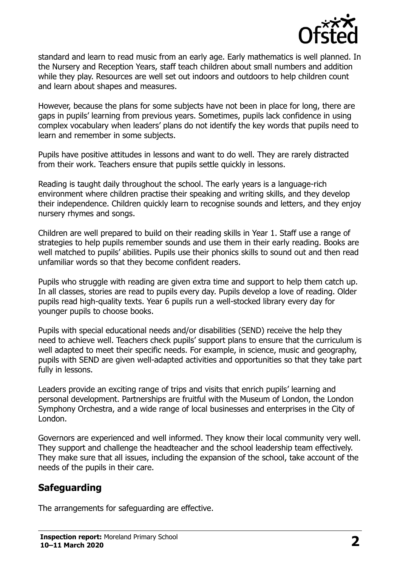

standard and learn to read music from an early age. Early mathematics is well planned. In the Nursery and Reception Years, staff teach children about small numbers and addition while they play. Resources are well set out indoors and outdoors to help children count and learn about shapes and measures.

However, because the plans for some subjects have not been in place for long, there are gaps in pupils' learning from previous years. Sometimes, pupils lack confidence in using complex vocabulary when leaders' plans do not identify the key words that pupils need to learn and remember in some subjects.

Pupils have positive attitudes in lessons and want to do well. They are rarely distracted from their work. Teachers ensure that pupils settle quickly in lessons.

Reading is taught daily throughout the school. The early years is a language-rich environment where children practise their speaking and writing skills, and they develop their independence. Children quickly learn to recognise sounds and letters, and they enjoy nursery rhymes and songs.

Children are well prepared to build on their reading skills in Year 1. Staff use a range of strategies to help pupils remember sounds and use them in their early reading. Books are well matched to pupils' abilities. Pupils use their phonics skills to sound out and then read unfamiliar words so that they become confident readers.

Pupils who struggle with reading are given extra time and support to help them catch up. In all classes, stories are read to pupils every day. Pupils develop a love of reading. Older pupils read high-quality texts. Year 6 pupils run a well-stocked library every day for younger pupils to choose books.

Pupils with special educational needs and/or disabilities (SEND) receive the help they need to achieve well. Teachers check pupils' support plans to ensure that the curriculum is well adapted to meet their specific needs. For example, in science, music and geography, pupils with SEND are given well-adapted activities and opportunities so that they take part fully in lessons.

Leaders provide an exciting range of trips and visits that enrich pupils' learning and personal development. Partnerships are fruitful with the Museum of London, the London Symphony Orchestra, and a wide range of local businesses and enterprises in the City of London.

Governors are experienced and well informed. They know their local community very well. They support and challenge the headteacher and the school leadership team effectively. They make sure that all issues, including the expansion of the school, take account of the needs of the pupils in their care.

#### **Safeguarding**

The arrangements for safeguarding are effective.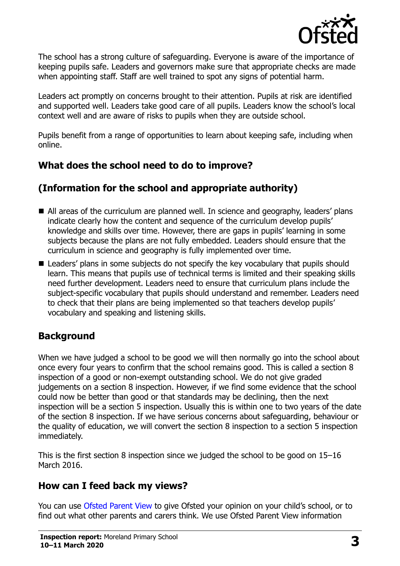

The school has a strong culture of safeguarding. Everyone is aware of the importance of keeping pupils safe. Leaders and governors make sure that appropriate checks are made when appointing staff. Staff are well trained to spot any signs of potential harm.

Leaders act promptly on concerns brought to their attention. Pupils at risk are identified and supported well. Leaders take good care of all pupils. Leaders know the school's local context well and are aware of risks to pupils when they are outside school.

Pupils benefit from a range of opportunities to learn about keeping safe, including when online.

# **What does the school need to do to improve?**

# **(Information for the school and appropriate authority)**

- All areas of the curriculum are planned well. In science and geography, leaders' plans indicate clearly how the content and sequence of the curriculum develop pupils' knowledge and skills over time. However, there are gaps in pupils' learning in some subjects because the plans are not fully embedded. Leaders should ensure that the curriculum in science and geography is fully implemented over time.
- Leaders' plans in some subjects do not specify the key vocabulary that pupils should learn. This means that pupils use of technical terms is limited and their speaking skills need further development. Leaders need to ensure that curriculum plans include the subject-specific vocabulary that pupils should understand and remember. Leaders need to check that their plans are being implemented so that teachers develop pupils' vocabulary and speaking and listening skills.

# **Background**

When we have judged a school to be good we will then normally go into the school about once every four years to confirm that the school remains good. This is called a section 8 inspection of a good or non-exempt outstanding school. We do not give graded judgements on a section 8 inspection. However, if we find some evidence that the school could now be better than good or that standards may be declining, then the next inspection will be a section 5 inspection. Usually this is within one to two years of the date of the section 8 inspection. If we have serious concerns about safeguarding, behaviour or the quality of education, we will convert the section 8 inspection to a section 5 inspection immediately.

This is the first section 8 inspection since we judged the school to be good on 15–16 March 2016.

# **How can I feed back my views?**

You can use [Ofsted Parent View](https://parentview.ofsted.gov.uk/) to give Ofsted your opinion on your child's school, or to find out what other parents and carers think. We use Ofsted Parent View information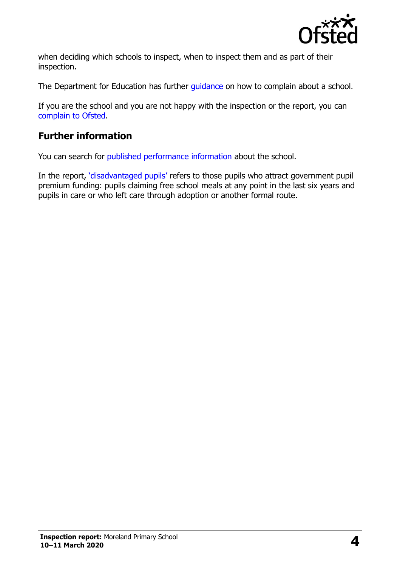

when deciding which schools to inspect, when to inspect them and as part of their inspection.

The Department for Education has further quidance on how to complain about a school.

If you are the school and you are not happy with the inspection or the report, you can [complain to Ofsted.](https://www.gov.uk/complain-ofsted-report)

# **Further information**

You can search for [published performance information](http://www.compare-school-performance.service.gov.uk/) about the school.

In the report, '[disadvantaged pupils](http://www.gov.uk/guidance/pupil-premium-information-for-schools-and-alternative-provision-settings)' refers to those pupils who attract government pupil premium funding: pupils claiming free school meals at any point in the last six years and pupils in care or who left care through adoption or another formal route.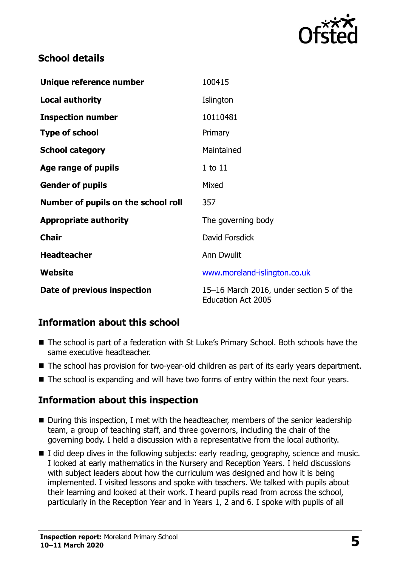

### **School details**

| Unique reference number             | 100415                                                                |
|-------------------------------------|-----------------------------------------------------------------------|
| <b>Local authority</b>              | Islington                                                             |
| <b>Inspection number</b>            | 10110481                                                              |
| <b>Type of school</b>               | Primary                                                               |
| <b>School category</b>              | Maintained                                                            |
| Age range of pupils                 | $1$ to $11$                                                           |
| <b>Gender of pupils</b>             | Mixed                                                                 |
| Number of pupils on the school roll | 357                                                                   |
| <b>Appropriate authority</b>        | The governing body                                                    |
| <b>Chair</b>                        | David Forsdick                                                        |
| <b>Headteacher</b>                  | <b>Ann Dwulit</b>                                                     |
| Website                             | www.moreland-islington.co.uk                                          |
| Date of previous inspection         | 15-16 March 2016, under section 5 of the<br><b>Education Act 2005</b> |

# **Information about this school**

- The school is part of a federation with St Luke's Primary School. Both schools have the same executive headteacher.
- The school has provision for two-year-old children as part of its early years department.
- The school is expanding and will have two forms of entry within the next four years.

# **Information about this inspection**

- During this inspection, I met with the headteacher, members of the senior leadership team, a group of teaching staff, and three governors, including the chair of the governing body. I held a discussion with a representative from the local authority.
- I did deep dives in the following subjects: early reading, geography, science and music. I looked at early mathematics in the Nursery and Reception Years. I held discussions with subject leaders about how the curriculum was designed and how it is being implemented. I visited lessons and spoke with teachers. We talked with pupils about their learning and looked at their work. I heard pupils read from across the school, particularly in the Reception Year and in Years 1, 2 and 6. I spoke with pupils of all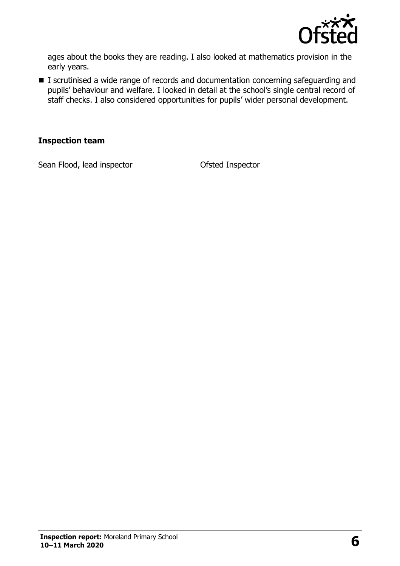

ages about the books they are reading. I also looked at mathematics provision in the early years.

■ I scrutinised a wide range of records and documentation concerning safeguarding and pupils' behaviour and welfare. I looked in detail at the school's single central record of staff checks. I also considered opportunities for pupils' wider personal development.

#### **Inspection team**

Sean Flood, lead inspector **CERC CONTER CONTER** Ofsted Inspector